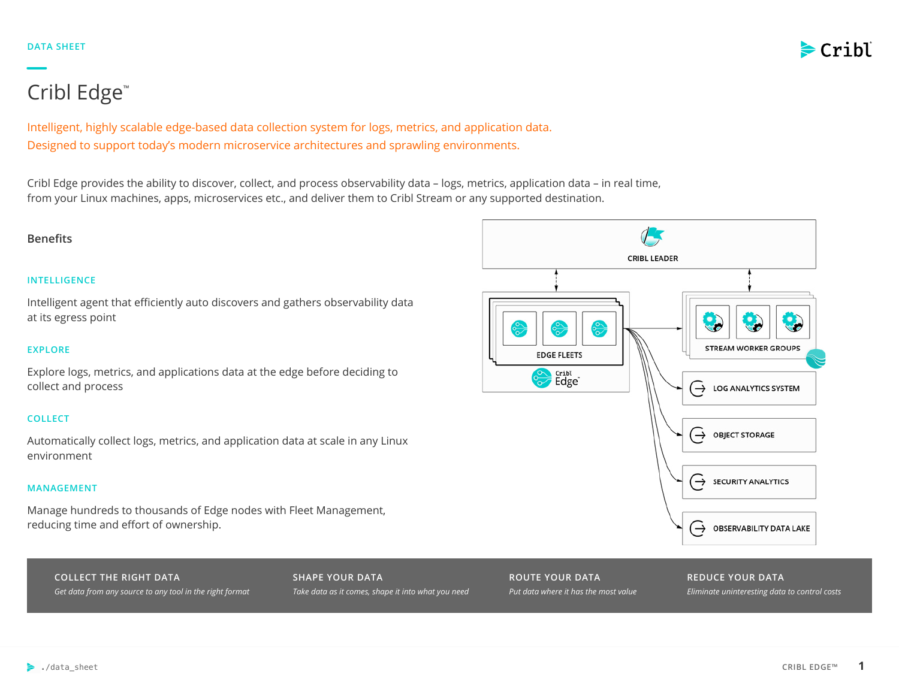

# Cribl Edge™

Intelligent, highly scalable edge-based data collection system for logs, metrics, and application data. Designed to support today's modern microservice architectures and sprawling environments.

Cribl Edge provides the ability to discover, collect, and process observability data – logs, metrics, application data – in real time, from your Linux machines, apps, microservices etc., and deliver them to Cribl Stream or any supported destination.

# **Benefits**

# **INTELLIGENCE**

Intelligent agent that efficiently auto discovers and gathers observability data at its egress point

# **EXPLORE**

Explore logs, metrics, and applications data at the edge before deciding to collect and process

# **COLLECT**

Automatically collect logs, metrics, and application data at scale in any Linux environment

# **MANAGEMENT**

Manage hundreds to thousands of Edge nodes with Fleet Management, reducing time and effort of ownership.

**COLLECT THE RIGHT DATA** *Get data from any source to any tool in the right format* **SHAPE YOUR DATA** *Take data as it comes, shape it into what you need*



# **REDUCE YOUR DATA**

*Eliminate uninteresting data to control costs*